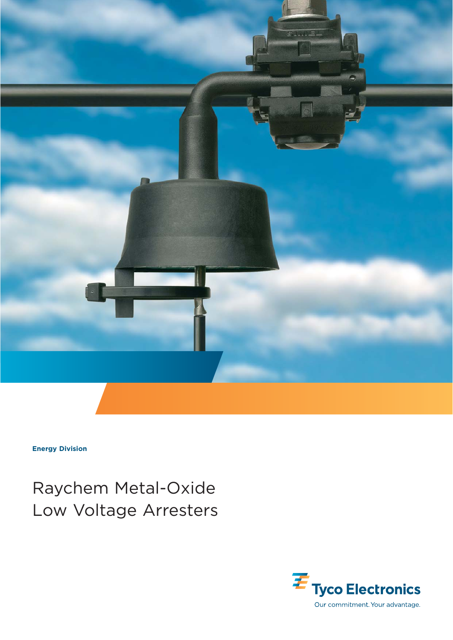

**Energy Division**

Raychem Metal-Oxide Low Voltage Arresters

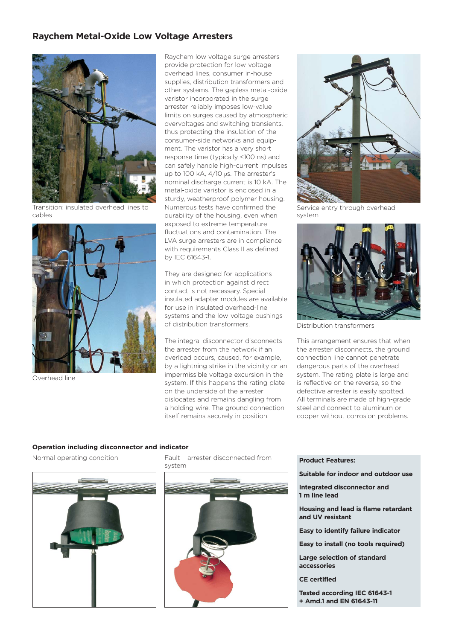## **Raychem Metal-Oxide Low Voltage Arresters**



Transition: insulated overhead lines to cables



Overhead line

Raychem low voltage surge arresters provide protection for low-voltage overhead lines, consumer in-house supplies, distribution transformers and other systems. The gapless metal-oxide varistor incorporated in the surge arrester reliably imposes low-value limits on surges caused by atmospheric overvoltages and switching transients, thus protecting the insulation of the consumer-side networks and equipment. The varistor has a very short response time (typically <100 ns) and can safely handle high-current impulses up to 100 kA, 4/10 µs. The arrester's nominal discharge current is 10 kA. The metal-oxide varistor is enclosed in a sturdy, weatherproof polymer housing. Numerous tests have confirmed the durability of the housing, even when exposed to extreme temperature fluctuations and contamination. The LVA surge arresters are in compliance with requirements Class II as defined by IEC 61643-1.

They are designed for applications in which protection against direct contact is not necessary. Special insulated adapter modules are available for use in insulated overhead-line systems and the low-voltage bushings of distribution transformers.

The integral disconnector disconnects the arrester from the network if an overload occurs, caused, for example, by a lightning strike in the vicinity or an impermissible voltage excursion in the system. If this happens the rating plate on the underside of the arrester dislocates and remains dangling from a holding wire. The ground connection itself remains securely in position.



Service entry through overhead system



Distribution transformers

This arrangement ensures that when the arrester disconnects, the ground connection line cannot penetrate dangerous parts of the overhead system. The rating plate is large and is reflective on the reverse, so the defective arrester is easily spotted. All terminals are made of high-grade steel and connect to aluminum or copper without corrosion problems.

#### **Operation including disconnector and indicator**

Normal operating condition



Fault – arrester disconnected from system



- **Product Features:**
- **Suitable for indoor and outdoor use**

**Integrated disconnector and 1 m line lead** 

**Housing and lead is flame retardant and UV resistant** 

**Easy to identify failure indicator**

**Easy to install (no tools required)**

**Large selection of standard accessories**

**CE certified**

**Tested according IEC 61643-1 + Amd.1 and EN 61643-11**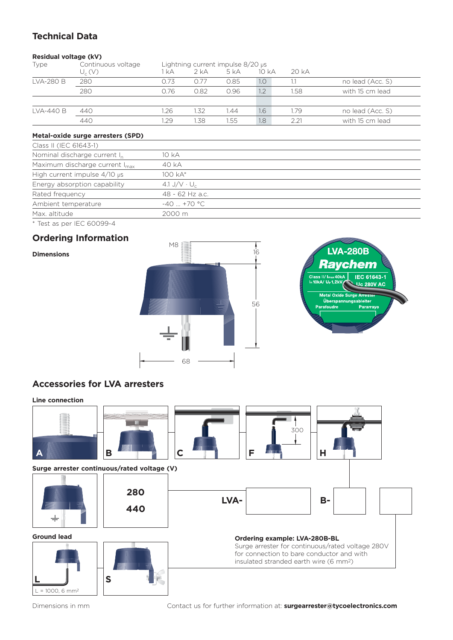# **Technical Data**

### **Residual voltage (kV)**

| Continuous voltage | Lightning current impulse $8/20$ $\mu s$ |        |      |       |      |                  |
|--------------------|------------------------------------------|--------|------|-------|------|------------------|
| $U_c(V)$           | kA                                       | $2$ kA | 5 kA | 10 kA | 20kA |                  |
| 280                | 0.73                                     | O 77   | 0.85 | 1.0   |      | no lead (Acc. S) |
| 280                | 0.76                                     | 0.82   | 0.96 | 1.2   | 1.58 | with 15 cm lead  |
|                    |                                          |        |      |       |      |                  |
| 440                | .26                                      | 1.32   | 1.44 | 1.6   | 1.79 | no lead (Acc. S) |
| 440                | .29                                      | 1.38   | 1.55 | 1.8   | 221  | with 15 cm lead  |
|                    |                                          |        |      |       |      |                  |

### **Metal-oxide surge arresters (SPD)**

| Class II (IEC 61643-1)                     |                                |
|--------------------------------------------|--------------------------------|
| Nominal discharge current I <sub>n</sub>   | 10 kA                          |
| Maximum discharge current I <sub>max</sub> | 40 kA                          |
| High current impulse 4/10 µs               | 100 kA*                        |
| Energy absorption capability               | 4.1 J/V $\cdot$ U <sub>c</sub> |
| Rated frequency                            | 48 - 62 Hz a.c.                |
| Ambient temperature                        | $-40$ +70 °C                   |
| Max. altitude                              | 2000 m                         |
| * Test as per IEC 60099-4                  |                                |

# **Ordering Information**

## **Dimensions**





## **Accessories for LVA arresters**



Dimensions in mm

Contact us for further information at: **surgearrester@tycoelectronics.com**